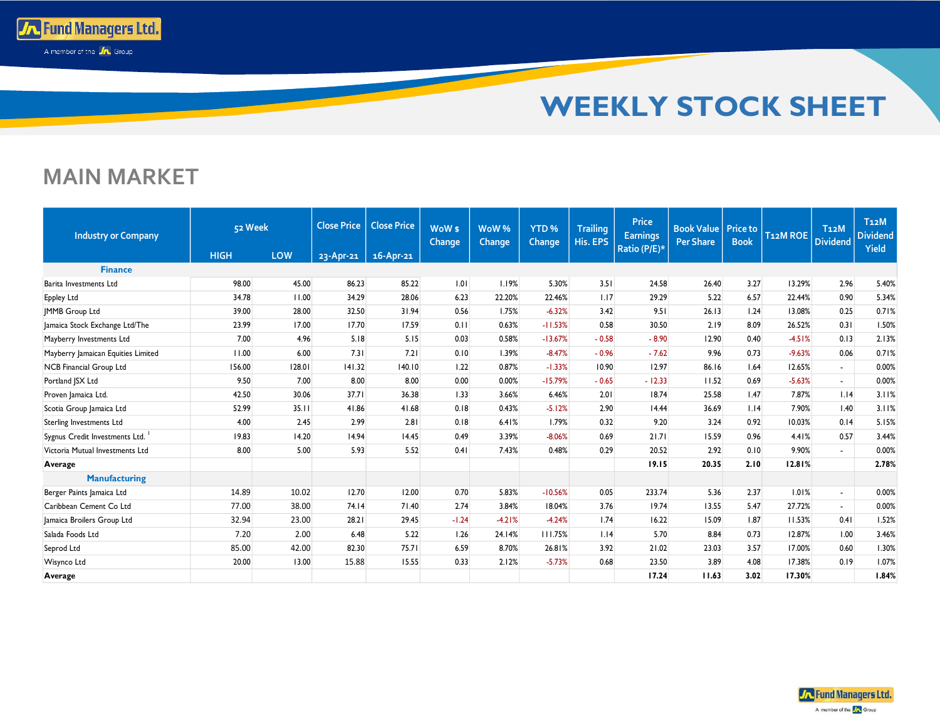

## **MAIN MARKET**

**To Fund Managers Ltd.** A member of the **A** Group

| 52 Week<br><b>Industry or Company</b> |             |        | <b>Close Price</b> | <b>Close Price</b> | WoW <sub>s</sub><br>Change | WoW <sup>%</sup><br>Change | YTD <sub>%</sub><br><b>Change</b> | <b>Trailing</b><br>His. EPS | <b>Price</b><br><b>Earnings</b><br>Ratio (P/E)* | <b>Book Value Price to</b><br><b>Per Share</b> | <b>Book</b> | T <sub>12</sub> M ROE | T <sub>12</sub> M<br><b>Dividend</b> | T <sub>12</sub> M<br><b>Dividend</b><br><b>Yield</b> |
|---------------------------------------|-------------|--------|--------------------|--------------------|----------------------------|----------------------------|-----------------------------------|-----------------------------|-------------------------------------------------|------------------------------------------------|-------------|-----------------------|--------------------------------------|------------------------------------------------------|
|                                       | <b>HIGH</b> | LOW    | 23-Apr-21          | $16 -$ Apr $-21$   |                            |                            |                                   |                             |                                                 |                                                |             |                       |                                      |                                                      |
| <b>Finance</b>                        |             |        |                    |                    |                            |                            |                                   |                             |                                                 |                                                |             |                       |                                      |                                                      |
| Barita Investments Ltd                | 98.00       | 45.00  | 86.23              | 85.22              | 1.01                       | 1.19%                      | 5.30%                             | 3.51                        | 24.58                                           | 26.40                                          | 3.27        | 13.29%                | 2.96                                 | 5.40%                                                |
| <b>Eppley Ltd</b>                     | 34.78       | 11.00  | 34.29              | 28.06              | 6.23                       | 22.20%                     | 22.46%                            | 1.17                        | 29.29                                           | 5.22                                           | 6.57        | 22.44%                | 0.90                                 | 5.34%                                                |
| <b>IMMB</b> Group Ltd                 | 39.00       | 28.00  | 32.50              | 31.94              | 0.56                       | 1.75%                      | $-6.32%$                          | 3.42                        | 9.51                                            | 26.13                                          | 1.24        | 13.08%                | 0.25                                 | 0.71%                                                |
| Jamaica Stock Exchange Ltd/The        | 23.99       | 17.00  | 17.70              | 17.59              | 0.11                       | 0.63%                      | $-11.53%$                         | 0.58                        | 30.50                                           | 2.19                                           | 8.09        | 26.52%                | 0.31                                 | 1.50%                                                |
| Mayberry Investments Ltd              | 7.00        | 4.96   | 5.18               | 5.15               | 0.03                       | 0.58%                      | $-13.67%$                         | $-0.58$                     | $-8.90$                                         | 12.90                                          | 0.40        | $-4.51%$              | 0.13                                 | 2.13%                                                |
| Mayberry Jamaican Equities Limited    | 11.00       | 6.00   | 7.31               | 7.21               | 0.10                       | 1.39%                      | $-8.47%$                          | $-0.96$                     | $-7.62$                                         | 9.96                                           | 0.73        | $-9.63%$              | 0.06                                 | 0.71%                                                |
| <b>NCB Financial Group Ltd</b>        | 156.00      | 128.01 | 141.32             | 140.10             | 1.22                       | 0.87%                      | $-1.33%$                          | 10.90                       | 12.97                                           | 86.16                                          | 1.64        | 12.65%                | $\sim$                               | 0.00%                                                |
| Portland JSX Ltd                      | 9.50        | 7.00   | 8.00               | 8.00               | 0.00                       | 0.00%                      | $-15.79%$                         | $-0.65$                     | $-12.33$                                        | 11.52                                          | 0.69        | $-5.63%$              | $\sim$                               | 0.00%                                                |
| Proven Jamaica Ltd.                   | 42.50       | 30.06  | 37.71              | 36.38              | 1.33                       | 3.66%                      | 6.46%                             | 2.01                        | 18.74                                           | 25.58                                          | 1.47        | 7.87%                 | 1.14                                 | 3.11%                                                |
| Scotia Group Jamaica Ltd              | 52.99       | 35.11  | 41.86              | 41.68              | 0.18                       | 0.43%                      | $-5.12%$                          | 2.90                        | 14.44                                           | 36.69                                          | 1.14        | 7.90%                 | 1.40                                 | 3.11%                                                |
| Sterling Investments Ltd              | 4.00        | 2.45   | 2.99               | 2.81               | 0.18                       | 6.41%                      | 1.79%                             | 0.32                        | 9.20                                            | 3.24                                           | 0.92        | 10.03%                | 0.14                                 | 5.15%                                                |
| Sygnus Credit Investments Ltd.        | 19.83       | 14.20  | 14.94              | 14.45              | 0.49                       | 3.39%                      | $-8.06%$                          | 0.69                        | 21.71                                           | 15.59                                          | 0.96        | 4.41%                 | 0.57                                 | 3.44%                                                |
| Victoria Mutual Investments Ltd       | 8.00        | 5.00   | 5.93               | 5.52               | 0.41                       | 7.43%                      | 0.48%                             | 0.29                        | 20.52                                           | 2.92                                           | 0.10        | 9.90%                 | $\sim$                               | 0.00%                                                |
| Average                               |             |        |                    |                    |                            |                            |                                   |                             | 19.15                                           | 20.35                                          | 2.10        | 12.81%                |                                      | 2.78%                                                |
| Manufacturing                         |             |        |                    |                    |                            |                            |                                   |                             |                                                 |                                                |             |                       |                                      |                                                      |
| Berger Paints Jamaica Ltd             | 14.89       | 10.02  | 12.70              | 12.00              | 0.70                       | 5.83%                      | $-10.56%$                         | 0.05                        | 233.74                                          | 5.36                                           | 2.37        | 1.01%                 | $\overline{a}$                       | 0.00%                                                |
| Caribbean Cement Co Ltd               | 77.00       | 38.00  | 74.14              | 71.40              | 2.74                       | 3.84%                      | 18.04%                            | 3.76                        | 19.74                                           | 13.55                                          | 5.47        | 27.72%                | $\sim$                               | 0.00%                                                |
| Jamaica Broilers Group Ltd            | 32.94       | 23.00  | 28.21              | 29.45              | $-1.24$                    | $-4.21%$                   | $-4.24%$                          | 1.74                        | 16.22                                           | 15.09                                          | 1.87        | 11.53%                | 0.41                                 | 1.52%                                                |
| Salada Foods Ltd                      | 7.20        | 2.00   | 6.48               | 5.22               | 1.26                       | 24.14%                     | 111.75%                           | 1.14                        | 5.70                                            | 8.84                                           | 0.73        | 12.87%                | 1.00                                 | 3.46%                                                |
| Seprod Ltd                            | 85.00       | 42.00  | 82.30              | 75.71              | 6.59                       | 8.70%                      | 26.81%                            | 3.92                        | 21.02                                           | 23.03                                          | 3.57        | 17.00%                | 0.60                                 | 1.30%                                                |
| Wisynco Ltd                           | 20.00       | 13.00  | 15.88              | 15.55              | 0.33                       | 2.12%                      | $-5.73%$                          | 0.68                        | 23.50                                           | 3.89                                           | 4.08        | 17.38%                | 0.19                                 | 1.07%                                                |
| Average                               |             |        |                    |                    |                            |                            |                                   |                             | 17.24                                           | 11.63                                          | 3.02        | 17.30%                |                                      | 1.84%                                                |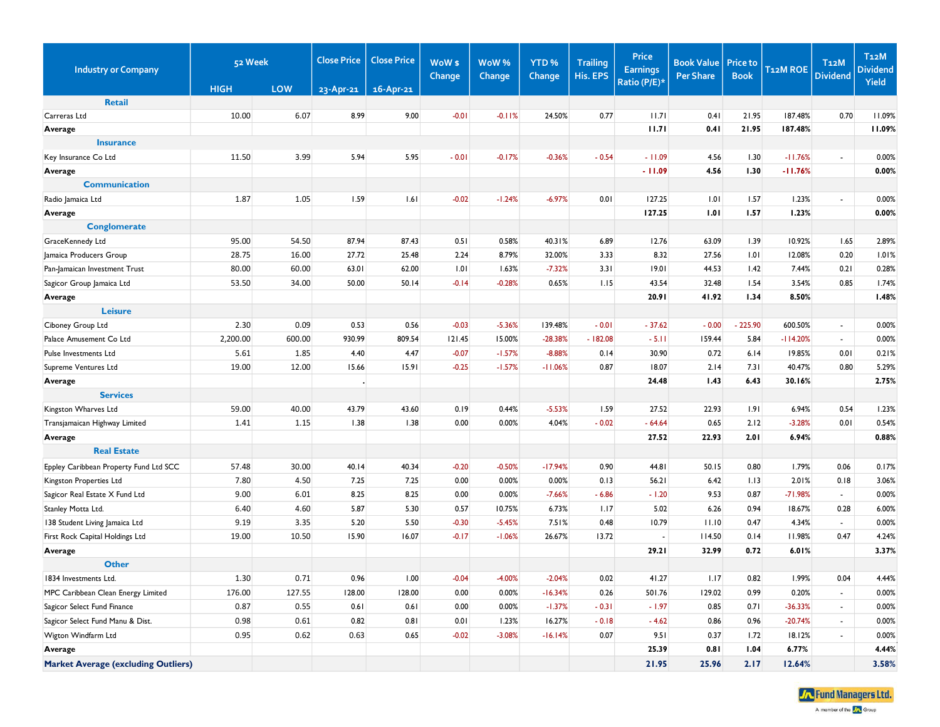| <b>Industry or Company</b>                 | 52 Week     |            | <b>Close Price</b><br><b>Close Price</b> |                 | WoW <sub>\$</sub><br>Change | WoW%<br>Change | YTD <sub>%</sub><br>Change | <b>Trailing</b><br>His. EPS | <b>Price</b><br><b>Earnings</b> | <b>Book Value</b><br><b>Per Share</b> | <b>Price to</b><br><b>Book</b> | <b>T12M ROE</b> | T <sub>12</sub> M<br><b>Dividend</b> | <b>T12M</b><br><b>Dividend</b> |
|--------------------------------------------|-------------|------------|------------------------------------------|-----------------|-----------------------------|----------------|----------------------------|-----------------------------|---------------------------------|---------------------------------------|--------------------------------|-----------------|--------------------------------------|--------------------------------|
|                                            | <b>HIGH</b> | <b>LOW</b> | $23 - Apr - 21$                          | $16 - Apr - 21$ |                             |                |                            |                             | Ratio (P/E)*                    |                                       |                                |                 |                                      | Yield                          |
| <b>Retail</b>                              |             |            |                                          |                 |                             |                |                            |                             |                                 |                                       |                                |                 |                                      |                                |
| Carreras Ltd                               | 10.00       | 6.07       | 8.99                                     | 9.00            | $-0.01$                     | $-0.11%$       | 24.50%                     | 0.77                        | 11.71                           | 0.41                                  | 21.95                          | 187.48%         | 0.70                                 | 11.09%                         |
| Average                                    |             |            |                                          |                 |                             |                |                            |                             | 11.71                           | 0.41                                  | 21.95                          | 187.48%         |                                      | 11.09%                         |
| <b>Insurance</b>                           |             |            |                                          |                 |                             |                |                            |                             |                                 |                                       |                                |                 |                                      |                                |
| Key Insurance Co Ltd                       | 11.50       | 3.99       | 5.94                                     | 5.95            | $-0.01$                     | $-0.17%$       | $-0.36%$                   | $-0.54$                     | $-11.09$                        | 4.56                                  | 1.30                           | $-11.76%$       | $\sim$                               | 0.00%                          |
| Average                                    |             |            |                                          |                 |                             |                |                            |                             | $-11.09$                        | 4.56                                  | 1.30                           | $-11.76%$       |                                      | 0.00%                          |
| <b>Communication</b>                       |             |            |                                          |                 |                             |                |                            |                             |                                 |                                       |                                |                 |                                      |                                |
| Radio Jamaica Ltd                          | 1.87        | 1.05       | 1.59                                     | 1.61            | $-0.02$                     | $-1.24%$       | $-6.97%$                   | 0.01                        | 127.25                          | 1.01                                  | 1.57                           | 1.23%           | $\sim$                               | 0.00%                          |
| Average                                    |             |            |                                          |                 |                             |                |                            |                             | 127.25                          | 1.01                                  | 1.57                           | 1.23%           |                                      | 0.00%                          |
| <b>Conglomerate</b>                        |             |            |                                          |                 |                             |                |                            |                             |                                 |                                       |                                |                 |                                      |                                |
| GraceKennedy Ltd                           | 95.00       | 54.50      | 87.94                                    | 87.43           | 0.51                        | 0.58%          | 40.31%                     | 6.89                        | 12.76                           | 63.09                                 | 1.39                           | 10.92%          | 1.65                                 | 2.89%                          |
| Jamaica Producers Group                    | 28.75       | 16.00      | 27.72                                    | 25.48           | 2.24                        | 8.79%          | 32.00%                     | 3.33                        | 8.32                            | 27.56                                 | 1.01                           | 12.08%          | 0.20                                 | 1.01%                          |
| Pan-Jamaican Investment Trust              | 80.00       | 60.00      | 63.01                                    | 62.00           | 1.01                        | 1.63%          | $-7.32%$                   | 3.31                        | 19.01                           | 44.53                                 | 1.42                           | 7.44%           | 0.21                                 | 0.28%                          |
| Sagicor Group Jamaica Ltd                  | 53.50       | 34.00      | 50.00                                    | 50.14           | $-0.14$                     | $-0.28%$       | 0.65%                      | 1.15                        | 43.54                           | 32.48                                 | 1.54                           | 3.54%           | 0.85                                 | 1.74%                          |
| Average                                    |             |            |                                          |                 |                             |                |                            |                             | 20.91                           | 41.92                                 | 1.34                           | 8.50%           |                                      | 1.48%                          |
| <b>Leisure</b>                             |             |            |                                          |                 |                             |                |                            |                             |                                 |                                       |                                |                 |                                      |                                |
| Ciboney Group Ltd                          | 2.30        | 0.09       | 0.53                                     | 0.56            | $-0.03$                     | $-5.36%$       | 139.48%                    | $-0.01$                     | $-37.62$                        | $-0.00$                               | $-225.90$                      | 600.50%         | $\sim$                               | 0.00%                          |
| Palace Amusement Co Ltd                    | 2,200.00    | 600.00     | 930.99                                   | 809.54          | 121.45                      | 15.00%         | $-28.38%$                  | $-182.08$                   | $-5.11$                         | 159.44                                | 5.84                           | $-114.20%$      | $\blacksquare$                       | 0.00%                          |
| Pulse Investments Ltd                      | 5.61        | 1.85       | 4.40                                     | 4.47            | $-0.07$                     | $-1.57%$       | $-8.88%$                   | 0.14                        | 30.90                           | 0.72                                  | 6.14                           | 19.85%          | 0.01                                 | 0.21%                          |
| Supreme Ventures Ltd                       | 19.00       | 12.00      | 15.66                                    | 15.91           | $-0.25$                     | $-1.57%$       | $-11.06%$                  | 0.87                        | 18.07                           | 2.14                                  | 7.31                           | 40.47%          | 0.80                                 | 5.29%                          |
| Average                                    |             |            |                                          |                 |                             |                |                            |                             | 24.48                           | 1.43                                  | 6.43                           | 30.16%          |                                      | 2.75%                          |
| <b>Services</b>                            |             |            |                                          |                 |                             |                |                            |                             |                                 |                                       |                                |                 |                                      |                                |
| Kingston Wharves Ltd                       | 59.00       | 40.00      | 43.79                                    | 43.60           | 0.19                        | 0.44%          | $-5.53%$                   | 1.59                        | 27.52                           | 22.93                                 | 1.91                           | 6.94%           | 0.54                                 | 1.23%                          |
| Transjamaican Highway Limited              | 1.41        | 1.15       | 1.38                                     | 1.38            | 0.00                        | 0.00%          | 4.04%                      | $-0.02$                     | $-64.64$                        | 0.65                                  | 2.12                           | $-3.28%$        | 0.01                                 | 0.54%                          |
| Average                                    |             |            |                                          |                 |                             |                |                            |                             | 27.52                           | 22.93                                 | 2.01                           | 6.94%           |                                      | 0.88%                          |
| <b>Real Estate</b>                         |             |            |                                          |                 |                             |                |                            |                             |                                 |                                       |                                |                 |                                      |                                |
| Eppley Caribbean Property Fund Ltd SCC     | 57.48       | 30.00      | 40.14                                    | 40.34           | $-0.20$                     | $-0.50%$       | $-17.94%$                  | 0.90                        | 44.81                           | 50.15                                 | 0.80                           | 1.79%           | 0.06                                 | 0.17%                          |
| Kingston Properties Ltd                    | 7.80        | 4.50       | 7.25                                     | 7.25            | 0.00                        | 0.00%          | 0.00%                      | 0.13                        | 56.21                           | 6.42                                  | 1.13                           | 2.01%           | 0.18                                 | 3.06%                          |
| Sagicor Real Estate X Fund Ltd             | 9.00        | 6.01       | 8.25                                     | 8.25            | 0.00                        | 0.00%          | $-7.66%$                   | $-6.86$                     | $-1.20$                         | 9.53                                  | 0.87                           | $-71.98%$       | $\sim$                               | 0.00%                          |
| Stanley Motta Ltd.                         | 6.40        | 4.60       | 5.87                                     | 5.30            | 0.57                        | 10.75%         | 6.73%                      | 1.17                        | 5.02                            | 6.26                                  | 0.94                           | 18.67%          | 0.28                                 | 6.00%                          |
| 138 Student Living Jamaica Ltd             | 9.19        | 3.35       | 5.20                                     | 5.50            | $-0.30$                     | $-5.45%$       | 7.51%                      | 0.48                        | 10.79                           | 11.10                                 | 0.47                           | 4.34%           | $\sim$                               | 0.00%                          |
| First Rock Capital Holdings Ltd            | 19.00       | 10.50      | 15.90                                    | 16.07           | $-0.17$                     | $-1.06%$       | 26.67%                     | 13.72                       | $\sim$                          | 114.50                                | 0.14                           | 11.98%          | 0.47                                 | 4.24%                          |
| Average                                    |             |            |                                          |                 |                             |                |                            |                             | 29.21                           | 32.99                                 | 0.72                           | 6.01%           |                                      | 3.37%                          |
| <b>Other</b>                               |             |            |                                          |                 |                             |                |                            |                             |                                 |                                       |                                |                 |                                      |                                |
| 1834 Investments Ltd.                      | 1.30        | 0.71       | 0.96                                     | 1.00            | $-0.04$                     | $-4.00%$       | $-2.04%$                   | 0.02                        | 41.27                           | 1.17                                  | 0.82                           | 1.99%           | 0.04                                 | 4.44%                          |
| MPC Caribbean Clean Energy Limited         | 176.00      | 127.55     | 128.00                                   | 128.00          | 0.00                        | 0.00%          | $-16.34%$                  | 0.26                        | 501.76                          | 129.02                                | 0.99                           | 0.20%           | $\sim$                               | 0.00%                          |
| Sagicor Select Fund Finance                | 0.87        | 0.55       | 0.61                                     | 0.61            | 0.00                        | 0.00%          | $-1.37%$                   | $-0.31$                     | $-1.97$                         | 0.85                                  | 0.71                           | $-36.33%$       | $\sim$                               | 0.00%                          |
| Sagicor Select Fund Manu & Dist.           | 0.98        | 0.61       | 0.82                                     | 0.81            | 0.01                        | 1.23%          | 16.27%                     | $-0.18$                     | $-4.62$                         | 0.86                                  | 0.96                           | $-20.74%$       | $\sim$                               | 0.00%                          |
| Wigton Windfarm Ltd                        | 0.95        | 0.62       | 0.63                                     | 0.65            | $-0.02$                     | $-3.08%$       | $-16.14%$                  | 0.07                        | 9.51                            | 0.37                                  | 1.72                           | 18.12%          | $\sim$                               | 0.00%                          |
| Average                                    |             |            |                                          |                 |                             |                |                            |                             | 25.39                           | 0.81                                  | 1.04                           | 6.77%           |                                      | 4.44%                          |
|                                            |             |            |                                          |                 |                             |                |                            |                             |                                 |                                       |                                |                 |                                      |                                |
| <b>Market Average (excluding Outliers)</b> |             |            |                                          |                 |                             |                |                            |                             | 21.95                           | 25.96                                 | 2.17                           | 12.64%          |                                      | 3.58%                          |

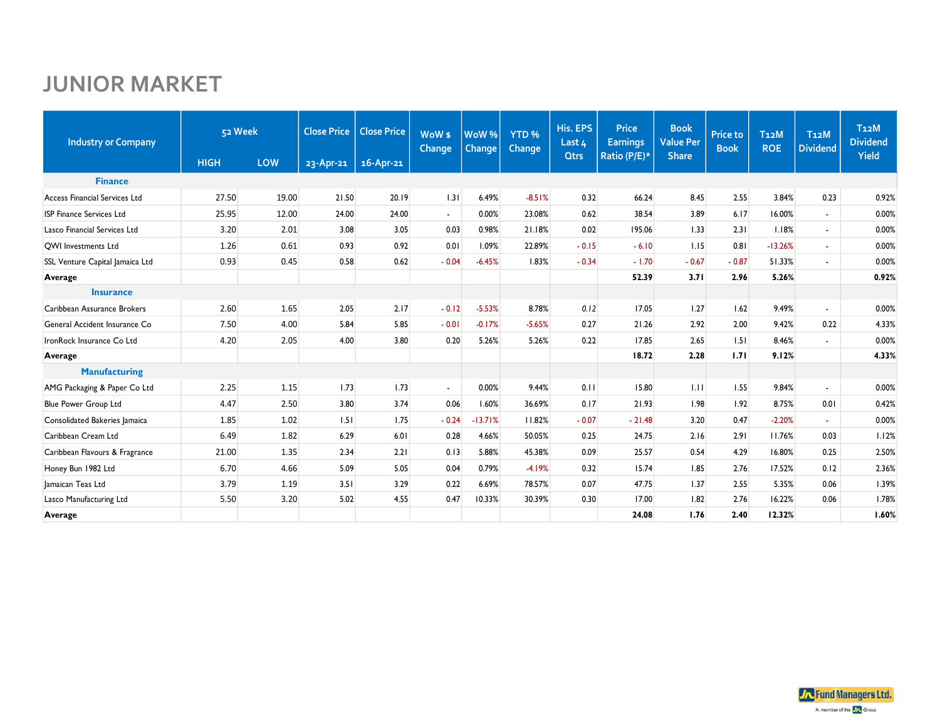## **JUNIOR MARKET**

| <b>Industry or Company</b>      |             | 52 Week | <b>Close Price</b> | <b>Close Price</b> | WoW <sub>s</sub><br>Change | WoW <sup>%</sup><br>Change | YTD <sub>%</sub><br><b>Change</b> | His. EPS<br>Last 4 | <b>Price</b><br><b>Earnings</b> | <b>Book</b><br><b>Value Per</b> | <b>Price to</b><br><b>Book</b> | <b>T12M</b><br><b>ROE</b> | T <sub>12</sub> M<br><b>Dividend</b> | T <sub>12</sub> M<br><b>Dividend</b><br>Yield |
|---------------------------------|-------------|---------|--------------------|--------------------|----------------------------|----------------------------|-----------------------------------|--------------------|---------------------------------|---------------------------------|--------------------------------|---------------------------|--------------------------------------|-----------------------------------------------|
|                                 | <b>HIGH</b> | LOW     | $23 - Apr - 21$    | $16 - Apr - 21$    |                            |                            |                                   | <b>Qtrs</b>        | Ratio (P/E)*                    | <b>Share</b>                    |                                |                           |                                      |                                               |
| <b>Finance</b>                  |             |         |                    |                    |                            |                            |                                   |                    |                                 |                                 |                                |                           |                                      |                                               |
| Access Financial Services Ltd   | 27.50       | 19.00   | 21.50              | 20.19              | 1.31                       | 6.49%                      | $-8.51%$                          | 0.32               | 66.24                           | 8.45                            | 2.55                           | 3.84%                     | 0.23                                 | 0.92%                                         |
| <b>ISP Finance Services Ltd</b> | 25.95       | 12.00   | 24.00              | 24.00              | $\overline{\phantom{a}}$   | 0.00%                      | 23.08%                            | 0.62               | 38.54                           | 3.89                            | 6.17                           | 16.00%                    | $\blacksquare$                       | 0.00%                                         |
| Lasco Financial Services Ltd    | 3.20        | 2.01    | 3.08               | 3.05               | 0.03                       | 0.98%                      | 21.18%                            | 0.02               | 195.06                          | 1.33                            | 2.31                           | 1.18%                     | $\blacksquare$                       | 0.00%                                         |
| <b>OWI Investments Ltd</b>      | 1.26        | 0.61    | 0.93               | 0.92               | 0.01                       | 1.09%                      | 22.89%                            | $-0.15$            | $-6.10$                         | 1.15                            | 0.81                           | $-13.26%$                 | $\blacksquare$                       | 0.00%                                         |
| SSL Venture Capital Jamaica Ltd | 0.93        | 0.45    | 0.58               | 0.62               | $-0.04$                    | $-6.45%$                   | 1.83%                             | $-0.34$            | $-1.70$                         | $-0.67$                         | $-0.87$                        | 51.33%                    | $\overline{\phantom{a}}$             | 0.00%                                         |
| Average                         |             |         |                    |                    |                            |                            |                                   |                    | 52.39                           | 3.71                            | 2.96                           | 5.26%                     |                                      | 0.92%                                         |
| <b>Insurance</b>                |             |         |                    |                    |                            |                            |                                   |                    |                                 |                                 |                                |                           |                                      |                                               |
| Caribbean Assurance Brokers     | 2.60        | 1.65    | 2.05               | 2.17               | $-0.12$                    | $-5.53%$                   | 8.78%                             | 0.12               | 17.05                           | 1.27                            | 1.62                           | 9.49%                     | $\sim$                               | 0.00%                                         |
| General Accident Insurance Co   | 7.50        | 4.00    | 5.84               | 5.85               | $-0.01$                    | $-0.17%$                   | $-5.65%$                          | 0.27               | 21.26                           | 2.92                            | 2.00                           | 9.42%                     | 0.22                                 | 4.33%                                         |
| IronRock Insurance Co Ltd       | 4.20        | 2.05    | 4.00               | 3.80               | 0.20                       | 5.26%                      | 5.26%                             | 0.22               | 17.85                           | 2.65                            | 1.51                           | 8.46%                     | $\overline{\phantom{a}}$             | 0.00%                                         |
| Average                         |             |         |                    |                    |                            |                            |                                   |                    | 18.72                           | 2.28                            | 1.71                           | 9.12%                     |                                      | 4.33%                                         |
| <b>Manufacturing</b>            |             |         |                    |                    |                            |                            |                                   |                    |                                 |                                 |                                |                           |                                      |                                               |
| AMG Packaging & Paper Co Ltd    | 2.25        | 1.15    | 1.73               | 1.73               | $\overline{\phantom{a}}$   | 0.00%                      | 9.44%                             | 0.11               | 15.80                           | 1.11                            | 1.55                           | 9.84%                     | $\blacksquare$                       | 0.00%                                         |
| <b>Blue Power Group Ltd</b>     | 4.47        | 2.50    | 3.80               | 3.74               | 0.06                       | 1.60%                      | 36.69%                            | 0.17               | 21.93                           | 1.98                            | 1.92                           | 8.75%                     | 0.01                                 | 0.42%                                         |
| Consolidated Bakeries Jamaica   | 1.85        | 1.02    | 1.51               | 1.75               | $-0.24$                    | $-13.71%$                  | 11.82%                            | $-0.07$            | $-21.48$                        | 3.20                            | 0.47                           | $-2.20%$                  |                                      | 0.00%                                         |
| Caribbean Cream Ltd             | 6.49        | 1.82    | 6.29               | 6.01               | 0.28                       | 4.66%                      | 50.05%                            | 0.25               | 24.75                           | 2.16                            | 2.91                           | 11.76%                    | 0.03                                 | 1.12%                                         |
| Caribbean Flavours & Fragrance  | 21.00       | 1.35    | 2.34               | 2.21               | 0.13                       | 5.88%                      | 45.38%                            | 0.09               | 25.57                           | 0.54                            | 4.29                           | 16.80%                    | 0.25                                 | 2.50%                                         |
| Honey Bun 1982 Ltd              | 6.70        | 4.66    | 5.09               | 5.05               | 0.04                       | 0.79%                      | $-4.19%$                          | 0.32               | 15.74                           | 1.85                            | 2.76                           | 17.52%                    | 0.12                                 | 2.36%                                         |
| Jamaican Teas Ltd               | 3.79        | 1.19    | 3.51               | 3.29               | 0.22                       | 6.69%                      | 78.57%                            | 0.07               | 47.75                           | 1.37                            | 2.55                           | 5.35%                     | 0.06                                 | 1.39%                                         |
| Lasco Manufacturing Ltd         | 5.50        | 3.20    | 5.02               | 4.55               | 0.47                       | 10.33%                     | 30.39%                            | 0.30               | 17.00                           | 1.82                            | 2.76                           | 16.22%                    | 0.06                                 | 1.78%                                         |
| Average                         |             |         |                    |                    |                            |                            |                                   |                    | 24.08                           | 1.76                            | 2.40                           | 12.32%                    |                                      | 1.60%                                         |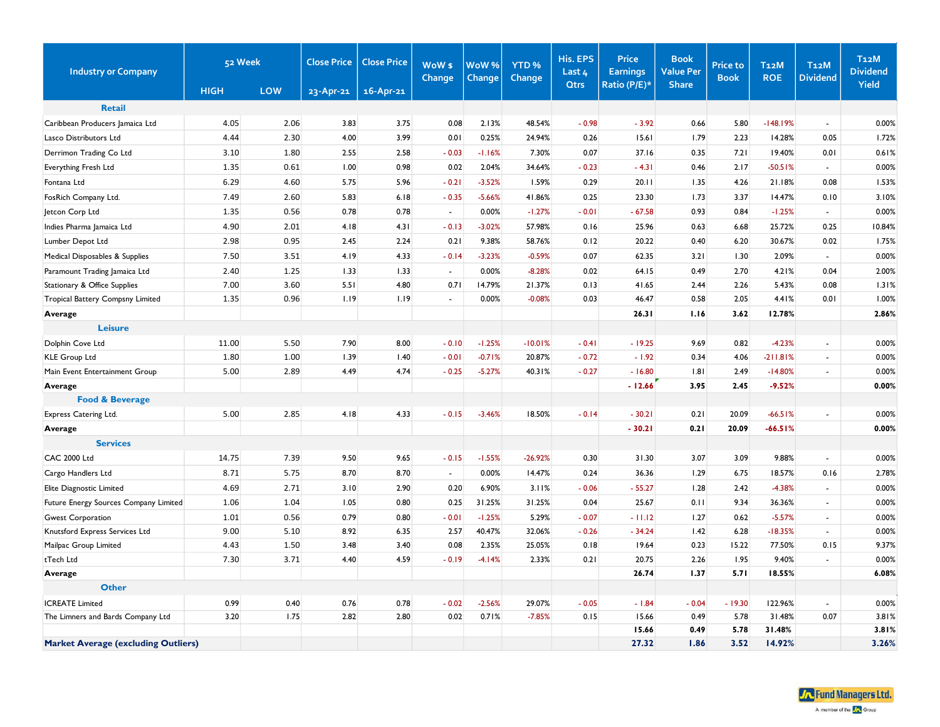| <b>Industry or Company</b>                 | 52 Week     |      | <b>Close Price</b> | <b>Close Price</b> | WoW <sub>\$</sub><br>Change | WoW%<br>Change | YTD <sub>%</sub><br>Change | His. EPS<br>Last $4$ | <b>Price</b><br><b>Earnings</b> | <b>Book</b><br><b>Value Per</b> | <b>Price to</b><br><b>Book</b> | <b>T12M</b><br><b>ROE</b> | T <sub>12</sub> M<br><b>Dividend</b> | T <sub>12</sub> M<br><b>Dividend</b> |
|--------------------------------------------|-------------|------|--------------------|--------------------|-----------------------------|----------------|----------------------------|----------------------|---------------------------------|---------------------------------|--------------------------------|---------------------------|--------------------------------------|--------------------------------------|
|                                            | <b>HIGH</b> | LOW  | 23-Apr-21          | 16-Apr-21          |                             |                |                            | <b>Qtrs</b>          | Ratio (P/E)*                    | <b>Share</b>                    |                                |                           |                                      | Yield                                |
| <b>Retail</b>                              |             |      |                    |                    |                             |                |                            |                      |                                 |                                 |                                |                           |                                      |                                      |
| Caribbean Producers Jamaica Ltd            | 4.05        | 2.06 | 3.83               | 3.75               | 0.08                        | 2.13%          | 48.54%                     | $-0.98$              | $-3.92$                         | 0.66                            | 5.80                           | $-148.19%$                | $\blacksquare$                       | 0.00%                                |
| Lasco Distributors Ltd                     | 4.44        | 2.30 | 4.00               | 3.99               | 0.01                        | 0.25%          | 24.94%                     | 0.26                 | 15.61                           | 1.79                            | 2.23                           | 14.28%                    | 0.05                                 | 1.72%                                |
| Derrimon Trading Co Ltd                    | 3.10        | 1.80 | 2.55               | 2.58               | $-0.03$                     | $-1.16%$       | 7.30%                      | 0.07                 | 37.16                           | 0.35                            | 7.21                           | 19.40%                    | 0.01                                 | 0.61%                                |
| Everything Fresh Ltd                       | 1.35        | 0.61 | 1.00               | 0.98               | 0.02                        | 2.04%          | 34.64%                     | $-0.23$              | $-4.31$                         | 0.46                            | 2.17                           | $-50.51%$                 | $\blacksquare$                       | 0.00%                                |
| Fontana Ltd                                | 6.29        | 4.60 | 5.75               | 5.96               | $-0.21$                     | $-3.52%$       | 1.59%                      | 0.29                 | 20.11                           | 1.35                            | 4.26                           | 21.18%                    | 0.08                                 | 1.53%                                |
| FosRich Company Ltd.                       | 7.49        | 2.60 | 5.83               | 6.18               | $-0.35$                     | $-5.66%$       | 41.86%                     | 0.25                 | 23.30                           | 1.73                            | 3.37                           | 14.47%                    | 0.10                                 | 3.10%                                |
| Jetcon Corp Ltd                            | 1.35        | 0.56 | 0.78               | 0.78               | $\sim$                      | 0.00%          | $-1.27%$                   | $-0.01$              | $-67.58$                        | 0.93                            | 0.84                           | $-1.25%$                  | $\sim$                               | 0.00%                                |
| Indies Pharma Jamaica Ltd                  | 4.90        | 2.01 | 4.18               | 4.31               | $-0.13$                     | $-3.02%$       | 57.98%                     | 0.16                 | 25.96                           | 0.63                            | 6.68                           | 25.72%                    | 0.25                                 | 10.84%                               |
| Lumber Depot Ltd                           | 2.98        | 0.95 | 2.45               | 2.24               | 0.21                        | 9.38%          | 58.76%                     | 0.12                 | 20.22                           | 0.40                            | 6.20                           | 30.67%                    | 0.02                                 | 1.75%                                |
| Medical Disposables & Supplies             | 7.50        | 3.51 | 4.19               | 4.33               | $-0.14$                     | $-3.23%$       | $-0.59%$                   | 0.07                 | 62.35                           | 3.21                            | 1.30                           | 2.09%                     | $\blacksquare$                       | 0.00%                                |
| Paramount Trading Jamaica Ltd              | 2.40        | 1.25 | 1.33               | 1.33               | $\omega$                    | 0.00%          | $-8.28%$                   | 0.02                 | 64.15                           | 0.49                            | 2.70                           | 4.21%                     | 0.04                                 | 2.00%                                |
| Stationary & Office Supplies               | 7.00        | 3.60 | 5.51               | 4.80               | 0.71                        | 14.79%         | 21.37%                     | 0.13                 | 41.65                           | 2.44                            | 2.26                           | 5.43%                     | 0.08                                 | 1.31%                                |
| Tropical Battery Compsny Limited           | 1.35        | 0.96 | 1.19               | 1.19               | $\mathbf{r}$                | 0.00%          | $-0.08%$                   | 0.03                 | 46.47                           | 0.58                            | 2.05                           | 4.41%                     | 0.01                                 | 1.00%                                |
| Average                                    |             |      |                    |                    |                             |                |                            |                      | 26.31                           | 1.16                            | 3.62                           | 12.78%                    |                                      | 2.86%                                |
| <b>Leisure</b>                             |             |      |                    |                    |                             |                |                            |                      |                                 |                                 |                                |                           |                                      |                                      |
| Dolphin Cove Ltd                           | 11.00       | 5.50 | 7.90               | 8.00               | $-0.10$                     | $-1.25%$       | $-10.01%$                  | $-0.41$              | $-19.25$                        | 9.69                            | 0.82                           | $-4.23%$                  | $\blacksquare$                       | 0.00%                                |
| KLE Group Ltd                              | 1.80        | 1.00 | 1.39               | 1.40               | $-0.01$                     | $-0.71%$       | 20.87%                     | $-0.72$              | $-1.92$                         | 0.34                            | 4.06                           | $-211.81%$                | ä,                                   | 0.00%                                |
| Main Event Entertainment Group             | 5.00        | 2.89 | 4.49               | 4.74               | $-0.25$                     | $-5.27%$       | 40.31%                     | $-0.27$              | $-16.80$                        | .8                              | 2.49                           | $-14.80%$                 | ä,                                   | 0.00%                                |
| Average                                    |             |      |                    |                    |                             |                |                            |                      | $-12.66$                        | 3.95                            | 2.45                           | $-9.52%$                  |                                      | 0.00%                                |
| <b>Food &amp; Beverage</b>                 |             |      |                    |                    |                             |                |                            |                      |                                 |                                 |                                |                           |                                      |                                      |
| Express Catering Ltd.                      | 5.00        | 2.85 | 4.18               | 4.33               | $-0.15$                     | $-3.46%$       | 18.50%                     | $-0.14$              | $-30.21$                        | 0.21                            | 20.09                          | $-66.51%$                 | $\overline{a}$                       | 0.00%                                |
| Average                                    |             |      |                    |                    |                             |                |                            |                      | $-30.21$                        | 0.21                            | 20.09                          | $-66.51%$                 |                                      | 0.00%                                |
| <b>Services</b>                            |             |      |                    |                    |                             |                |                            |                      |                                 |                                 |                                |                           |                                      |                                      |
| <b>CAC 2000 Ltd</b>                        | 14.75       | 7.39 | 9.50               | 9.65               | $-0.15$                     | $-1.55%$       | $-26.92%$                  | 0.30                 | 31.30                           | 3.07                            | 3.09                           | 9.88%                     | $\blacksquare$                       | 0.00%                                |
| Cargo Handlers Ltd                         | 8.71        | 5.75 | 8.70               | 8.70               | $\sim$                      | 0.00%          | 14.47%                     | 0.24                 | 36.36                           | 1.29                            | 6.75                           | 18.57%                    | 0.16                                 | 2.78%                                |
| Elite Diagnostic Limited                   | 4.69        | 2.71 | 3.10               | 2.90               | 0.20                        | 6.90%          | 3.11%                      | $-0.06$              | $-55.27$                        | 1.28                            | 2.42                           | $-4.38%$                  | $\mathbf{r}$                         | 0.00%                                |
| Future Energy Sources Company Limited      | 1.06        | 1.04 | 1.05               | 0.80               | 0.25                        | 31.25%         | 31.25%                     | 0.04                 | 25.67                           | 0.11                            | 9.34                           | 36.36%                    | $\blacksquare$                       | 0.00%                                |
| <b>Gwest Corporation</b>                   | 1.01        | 0.56 | 0.79               | 0.80               | $-0.01$                     | $-1.25%$       | 5.29%                      | $-0.07$              | $-11.12$                        | 1.27                            | 0.62                           | $-5.57%$                  | $\blacksquare$                       | 0.00%                                |
| Knutsford Express Services Ltd             | 9.00        | 5.10 | 8.92               | 6.35               | 2.57                        | 40.47%         | 32.06%                     | $-0.26$              | $-34.24$                        | 1.42                            | 6.28                           | $-18.35%$                 | $\overline{\phantom{a}}$             | 0.00%                                |
| Mailpac Group Limited                      | 4.43        | 1.50 | 3.48               | 3.40               | 0.08                        | 2.35%          | 25.05%                     | 0.18                 | 19.64                           | 0.23                            | 15.22                          | 77.50%                    | 0.15                                 | 9.37%                                |
| tTech Ltd                                  | 7.30        | 3.71 | 4.40               | 4.59               | $-0.19$                     | $-4.14%$       | 2.33%                      | 0.21                 | 20.75                           | 2.26                            | 1.95                           | 9.40%                     | $\blacksquare$                       | 0.00%                                |
| Average                                    |             |      |                    |                    |                             |                |                            |                      | 26.74                           | 1.37                            | 5.71                           | 18.55%                    |                                      | 6.08%                                |
| <b>Other</b>                               |             |      |                    |                    |                             |                |                            |                      |                                 |                                 |                                |                           |                                      |                                      |
| <b>ICREATE Limited</b>                     | 0.99        | 0.40 | 0.76               | 0.78               | $-0.02$                     | $-2.56%$       | 29.07%                     | $-0.05$              | $-1.84$                         | $-0.04$                         | $-19.30$                       | 122.96%                   | $\blacksquare$                       | 0.00%                                |
| The Limners and Bards Company Ltd          | 3.20        | 1.75 | 2.82               | 2.80               | 0.02                        | 0.71%          | $-7.85%$                   | 0.15                 | 15.66                           | 0.49                            | 5.78                           | 31.48%                    | 0.07                                 | 3.81%                                |
|                                            |             |      |                    |                    |                             |                |                            |                      | 15.66                           | 0.49                            | 5.78                           | 31.48%                    |                                      | 3.81%                                |
| <b>Market Average (excluding Outliers)</b> |             |      |                    |                    |                             |                |                            |                      | 27.32                           | 1.86                            | 3.52                           | 14.92%                    |                                      | 3.26%                                |